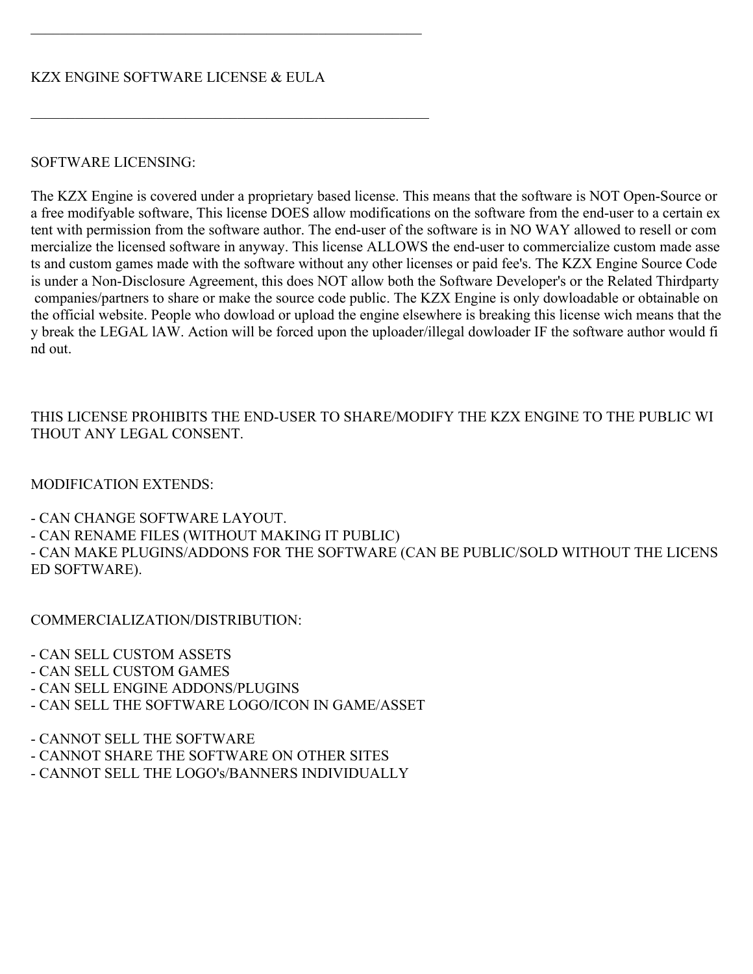## SOFTWARE LICENSING:

The KZX Engine is covered under a proprietary based license. This means that the software is NOT Open-Source or a free modifyable software, This license DOES allow modifications on the software from the end-user to a certain ex tent with permission from the software author. The end-user of the software is in NO WAY allowed to resell or com mercialize the licensed software in anyway. This license ALLOWS the end-user to commercialize custom made asse ts and custom games made with the software without any other licenses or paid fee's. The KZX Engine Source Code is under a Non-Disclosure Agreement, this does NOT allow both the Software Developer's or the Related Thirdparty companies/partners to share or make the source code public. The KZX Engine is only dowloadable or obtainable on the official website. People who dowload or upload the engine elsewhere is breaking this license wich means that the y break the LEGAL lAW. Action will be forced upon the uploader/illegal dowloader IF the software author would fi nd out.

## THIS LICENSE PROHIBITS THE END-USER TO SHARE/MODIFY THE KZX ENGINE TO THE PUBLIC WI THOUT ANY LEGAL CONSENT.

## MODIFICATION EXTENDS:

- CAN CHANGE SOFTWARE LAYOUT.

- CAN RENAME FILES (WITHOUT MAKING IT PUBLIC)

- CAN MAKE PLUGINS/ADDONS FOR THE SOFTWARE (CAN BE PUBLIC/SOLD WITHOUT THE LICENS ED SOFTWARE).

COMMERCIALIZATION/DISTRIBUTION:

- CAN SELL CUSTOM ASSETS

- CAN SELL CUSTOM GAMES

- CAN SELL ENGINE ADDONS/PLUGINS

- CAN SELL THE SOFTWARE LOGO/ICON IN GAME/ASSET

- CANNOT SELL THE SOFTWARE

- CANNOT SHARE THE SOFTWARE ON OTHER SITES

- CANNOT SELL THE LOGO's/BANNERS INDIVIDUALLY